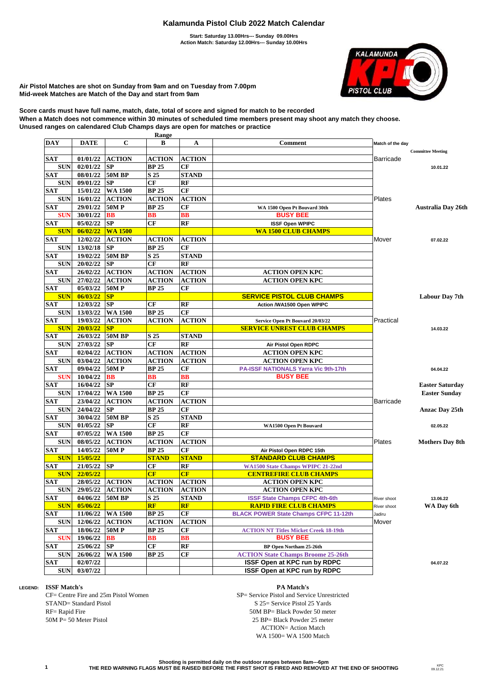## **Kalamunda Pistol Club 2022 Match Calendar**

**Start: Saturday 13.00Hrs--- Sunday 09.00Hrs Action Match: Saturday 12.00Hrs--- Sunday 10.00Hrs**



**Air Pistol Matches are shot on Sunday from 9am and on Tuesday from 7.00pm Mid-week Matches are Match of the Day and start from 9am**

**Score cards must have full name, match, date, total of score and signed for match to be recorded When a Match does not commence within 30 minutes of scheduled time members present may shoot any match they choose. Unused ranges on calendared Club Champs days are open for matches or practice**

|                          |                      |                            | Range                         |                            |                                              |                  |                           |
|--------------------------|----------------------|----------------------------|-------------------------------|----------------------------|----------------------------------------------|------------------|---------------------------|
| <b>DAY</b>               | <b>DATE</b>          | $\mathbf C$                | В                             | A                          | Comment                                      | Match of the day |                           |
|                          |                      |                            |                               |                            |                                              |                  | <b>Committee Meeting</b>  |
| <b>SAT</b><br><b>SUN</b> | 01/01/22<br>02/01/22 | <b>ACTION</b><br><b>SP</b> | <b>ACTION</b><br><b>BP 25</b> | <b>ACTION</b><br><b>CF</b> |                                              | Barricade        |                           |
| <b>SAT</b>               | 08/01/22             | <b>50M BP</b>              | S 25                          | <b>STAND</b>               |                                              |                  | 10.01.22                  |
| <b>SUN</b>               | 09/01/22             | <b>SP</b>                  | CF                            | RF                         |                                              |                  |                           |
| <b>SAT</b>               | 15/01/22             | <b>WA 1500</b>             | <b>BP 25</b>                  | CF                         |                                              |                  |                           |
| <b>SUN</b>               | 16/01/22             | <b>ACTION</b>              | <b>ACTION</b>                 | <b>ACTION</b>              |                                              | Plates           |                           |
| <b>SAT</b>               | 29/01/22             | <b>50MP</b>                | <b>BP 25</b>                  | CF                         | WA 1500 Open Pt Bouvard 30th                 |                  | <b>Australia Day 26th</b> |
| <b>SUN</b>               | 30/01/22             | BB                         | BВ                            | BB                         | <b>BUSY BEE</b>                              |                  |                           |
| <b>SAT</b>               | 05/02/22             | SP                         | CF                            | RF                         | <b>ISSF Open WPIPC</b>                       |                  |                           |
| <b>SUN</b>               | 06/02/22             | <b>WA 1500</b>             |                               |                            | <b>WA 1500 CLUB CHAMPS</b>                   |                  |                           |
| <b>SAT</b>               | 12/02/22             | <b>ACTION</b>              | <b>ACTION</b>                 | <b>ACTION</b>              |                                              | Mover            | 07.02.22                  |
| <b>SUN</b>               | 13/02/18             | <b>SP</b>                  | <b>BP 25</b>                  | CF                         |                                              |                  |                           |
| <b>SAT</b>               | 19/02/22             | <b>50M BP</b>              | S 25                          | <b>STAND</b>               |                                              |                  |                           |
| <b>SUN</b>               | 20/02/22             | <b>SP</b>                  | CF                            | RF                         |                                              |                  |                           |
| <b>SAT</b>               | 26/02/22             | <b>ACTION</b>              | <b>ACTION</b>                 | <b>ACTION</b>              | <b>ACTION OPEN KPC</b>                       |                  |                           |
| <b>SUN</b>               | 27/02/22             | <b>ACTION</b>              | <b>ACTION</b>                 | <b>ACTION</b>              | <b>ACTION OPEN KPC</b>                       |                  |                           |
| <b>SAT</b>               | 05/03/22             | <b>50MP</b>                | <b>BP 25</b>                  | CF                         |                                              |                  |                           |
| <b>SUN</b>               | 06/03/22             | SP                         |                               |                            | <b>SERVICE PISTOL CLUB CHAMPS</b>            |                  | <b>Labour Day 7th</b>     |
| <b>SAT</b>               | 12/03/22             | SP                         | CF                            | RF                         | Action /WA1500 Open WPIPC                    |                  |                           |
| <b>SUN</b>               | 13/03/22             | <b>WA 1500</b>             | <b>BP 25</b>                  | <b>CF</b>                  |                                              |                  |                           |
| <b>SAT</b>               | 19/03/22             | <b>ACTION</b>              | <b>ACTION</b>                 | <b>ACTION</b>              | Service Open Pt Bouvard 20/03/22             | Practical        |                           |
| <b>SUN</b>               | 20/03/22             | SP                         |                               |                            | <b>SERVICE UNREST CLUB CHAMPS</b>            |                  | 14.03.22                  |
| <b>SAT</b>               | 26/03/22             | <b>50M BP</b>              | S 25                          | <b>STAND</b>               |                                              |                  |                           |
| <b>SUN</b>               | 27/03/22             | SP                         | CF                            | RF                         | Air Pistol Open RDPC                         |                  |                           |
| <b>SAT</b>               | 02/04/22             | <b>ACTION</b>              | <b>ACTION</b>                 | <b>ACTION</b>              | <b>ACTION OPEN KPC</b>                       |                  |                           |
| <b>SUN</b>               | 03/04/22             | <b>ACTION</b>              | <b>ACTION</b>                 | <b>ACTION</b>              | <b>ACTION OPEN KPC</b>                       |                  |                           |
| <b>SAT</b>               | 09/04/22             | <b>50MP</b>                | <b>BP 25</b>                  | СF                         | <b>PA-ISSF NATIONALS Yarra Vic 9th-17th</b>  |                  | 04.04.22                  |
| <b>SUN</b>               | 10/04/22             | BB                         | BВ                            | BB                         | <b>BUSY BEE</b>                              |                  |                           |
| <b>SAT</b>               | 16/04/22             | <b>SP</b>                  | CF                            | RF                         |                                              |                  | <b>Easter Saturday</b>    |
| <b>SUN</b>               | 17/04/22             | <b>WA 1500</b>             | <b>BP 25</b>                  | CF                         |                                              |                  | <b>Easter Sunday</b>      |
| <b>SAT</b>               | 23/04/22             | <b>ACTION</b>              | <b>ACTION</b>                 | <b>ACTION</b>              |                                              | <b>Barricade</b> |                           |
| <b>SUN</b>               | 24/04/22             | SP                         | <b>BP 25</b>                  | CF                         |                                              |                  | <b>Anzac Day 25th</b>     |
| <b>SAT</b>               | 30/04/22             | <b>50M BP</b>              | S 25                          | <b>STAND</b>               |                                              |                  |                           |
| <b>SUN</b>               | 01/05/22             | <b>SP</b>                  | CF                            | RF                         | <b>WA1500 Open Pt Bouvard</b>                |                  | 02.05.22                  |
| <b>SAT</b>               | 07/05/22             | <b>WA 1500</b>             | <b>BP 25</b>                  | <b>CF</b>                  |                                              |                  |                           |
| <b>SUN</b>               | 08/05/22             | <b>ACTION</b>              | <b>ACTION</b>                 | <b>ACTION</b>              |                                              | Plates           | <b>Mothers Day 8th</b>    |
| <b>SAT</b>               | 14/05/22             | 50MP                       | <b>BP 25</b>                  | СF                         | Air Pistol Open RDPC 15th                    |                  |                           |
| <b>SUN</b>               | 15/05/22             |                            | <b>STAND</b>                  | <b>STAND</b>               | <b>STANDARD CLUB CHAMPS</b>                  |                  |                           |
| <b>SAT</b>               | 21/05/22             | <b>SP</b>                  | СF                            | RF                         | <b>WA1500 State Champs WPIPC 21-22nd</b>     |                  |                           |
| <b>SUN</b>               | 22/05/22             |                            | CF                            | CF                         | <b>CENTREFIRE CLUB CHAMPS</b>                |                  |                           |
| <b>SAT</b>               | 28/05/22             | <b>ACTION</b>              | <b>ACTION</b>                 | <b>ACTION</b>              | <b>ACTION OPEN KPC</b>                       |                  |                           |
| <b>SUN</b>               | 29/05/22             | <b>ACTION</b>              | <b>ACTION</b>                 | <b>ACTION</b>              | <b>ACTION OPEN KPC</b>                       |                  |                           |
| <b>SAT</b>               | 04/06/22 50M BP      |                            | S <sub>25</sub>               | <b>STAND</b>               | <b>ISSF State Champs CFPC 4th-6th</b>        | River shoot      | 13.06.22                  |
| <b>SUN</b>               | 05/06/22             |                            | RF                            | RF                         | <b>RAPID FIRE CLUB CHAMPS</b>                | River shoot      | WA Day 6th                |
| <b>SAT</b>               | 11/06/22             | <b>WA 1500</b>             | <b>BP 25</b>                  | CF                         | <b>BLACK POWER State Champs CFPC 11-12th</b> | Jadiru           |                           |
| <b>SUN</b>               | 12/06/22             | <b>ACTION</b>              | <b>ACTION</b>                 | <b>ACTION</b>              |                                              | Mover            |                           |
| <b>SAT</b>               | 18/06/22             | <b>50MP</b>                | <b>BP 25</b>                  | CF                         | <b>ACTION NT Titles Micket Creek 18-19th</b> |                  |                           |
| <b>SUN</b>               | 19/06/22             | <b>BB</b>                  | ВB                            | <b>BB</b>                  | <b>BUSY BEE</b>                              |                  |                           |
| <b>SAT</b>               | 25/06/22             | <b>SP</b>                  | CF                            | RF                         | BP Open Northam 25-26th                      |                  |                           |
| <b>SUN</b>               | 26/06/22             | <b>WA 1500</b>             | <b>BP 25</b>                  | СF                         | <b>ACTION State Champs Broome 25-26th</b>    |                  |                           |
| <b>SAT</b>               | 02/07/22             |                            |                               |                            | ISSF Open at KPC run by RDPC                 |                  | 04.07.22                  |
| <b>SUN</b>               | 03/07/22             |                            |                               |                            | <b>ISSF Open at KPC run by RDPC</b>          |                  |                           |

STAND= Standard Pistol S 25 = Service Pistol 25 Yards RF= Rapid Fire 50M BP= Black Powder 50 meter 50M P= 50 Meter Pistol 25 BP= Black Powder 25 meter

**LEGEND: ISSF Match's PA Match's** CF= Centre Fire and 25m Pistol Women SP= Service Pistol and Service Unrestricted ACTION= Action Match WA 1500= WA 1500 Match